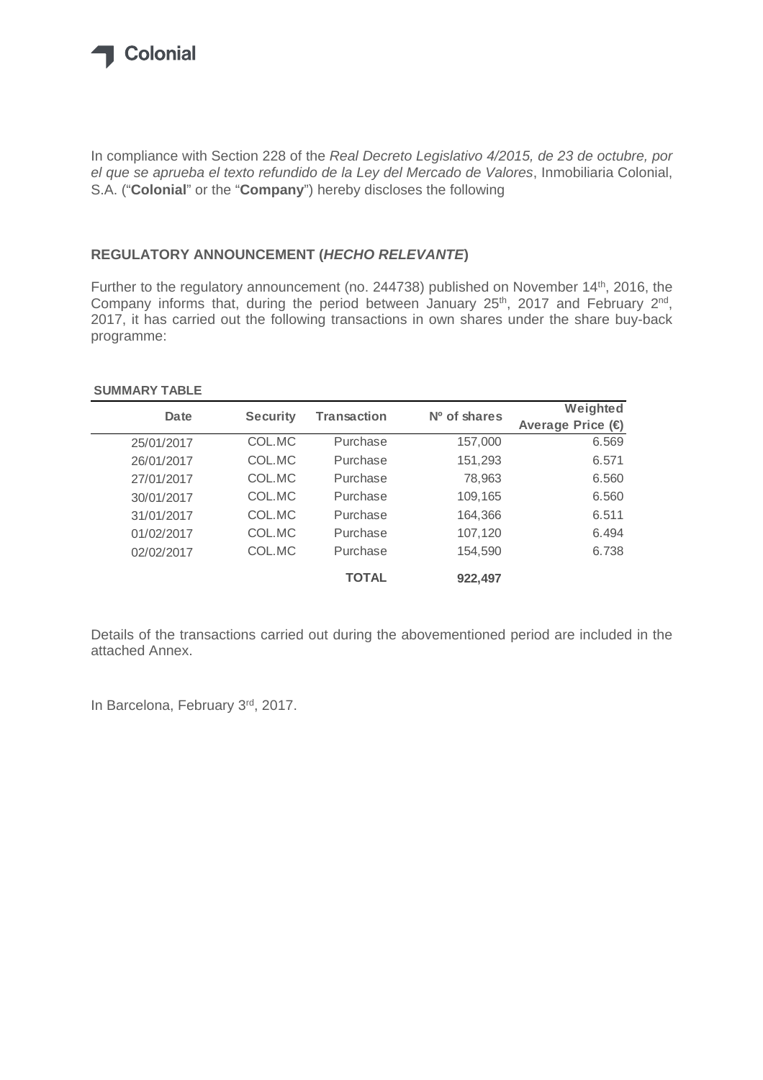

In compliance with Section 228 of the *Real Decreto Legislativo 4/2015, de 23 de octubre, por el que se aprueba el texto refundido de la Ley del Mercado de Valores*, Inmobiliaria Colonial, S.A. ("**Colonial**" or the "**Company**") hereby discloses the following

## **REGULATORY ANNOUNCEMENT (***HECHO RELEVANTE***)**

Further to the regulatory announcement (no. 244738) published on November 14<sup>th</sup>, 2016, the Company informs that, during the period between January  $25<sup>th</sup>$ , 2017 and February  $2<sup>nd</sup>$ , 2017, it has carried out the following transactions in own shares under the share buy-back programme:

## **SUMMARY TABLE**

| Date       | <b>Security</b> | <b>Transaction</b> | $No$ of shares | Weighted         |
|------------|-----------------|--------------------|----------------|------------------|
|            |                 |                    |                | Average Price (€ |
| 25/01/2017 | COL.MC          | Purchase           | 157,000        | 6.569            |
| 26/01/2017 | COL.MC          | Purchase           | 151,293        | 6.571            |
| 27/01/2017 | COL.MC          | Purchase           | 78,963         | 6.560            |
| 30/01/2017 | COL.MC          | Purchase           | 109,165        | 6.560            |
| 31/01/2017 | COL.MC          | Purchase           | 164,366        | 6.511            |
| 01/02/2017 | COL.MC          | Purchase           | 107,120        | 6.494            |
| 02/02/2017 | COL.MC          | Purchase           | 154,590        | 6.738            |
|            |                 | <b>TOTAL</b>       | 922,497        |                  |

Details of the transactions carried out during the abovementioned period are included in the attached Annex.

In Barcelona, February 3rd, 2017.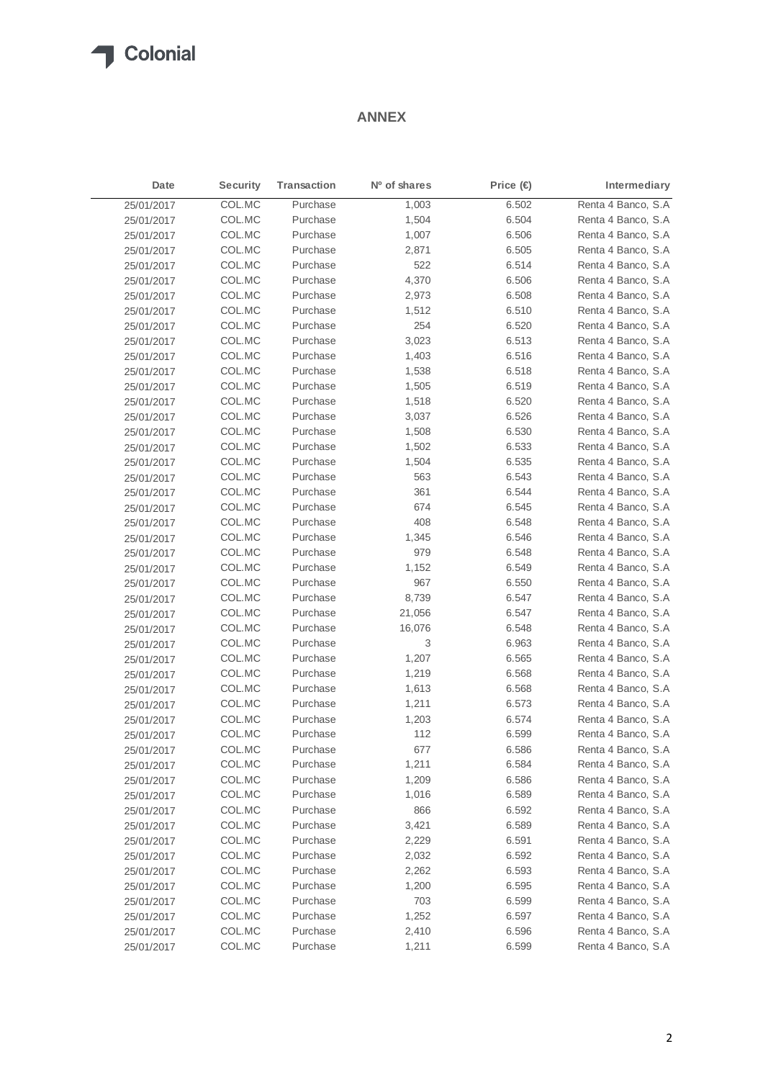## **T** Colonial

## **ANNEX**

| Date       | <b>Security</b> | <b>Transaction</b> | Nº of shares | Price (€) | Intermediary       |
|------------|-----------------|--------------------|--------------|-----------|--------------------|
| 25/01/2017 | COL.MC          | Purchase           | 1,003        | 6.502     | Renta 4 Banco, S.A |
| 25/01/2017 | COL.MC          | Purchase           | 1,504        | 6.504     | Renta 4 Banco, S.A |
| 25/01/2017 | COL.MC          | Purchase           | 1,007        | 6.506     | Renta 4 Banco, S.A |
| 25/01/2017 | COL.MC          | Purchase           | 2,871        | 6.505     | Renta 4 Banco, S.A |
| 25/01/2017 | COL.MC          | Purchase           | 522          | 6.514     | Renta 4 Banco, S.A |
| 25/01/2017 | COL.MC          | Purchase           | 4,370        | 6.506     | Renta 4 Banco, S.A |
| 25/01/2017 | COL.MC          | Purchase           | 2,973        | 6.508     | Renta 4 Banco, S.A |
| 25/01/2017 | COL.MC          | Purchase           | 1,512        | 6.510     | Renta 4 Banco, S.A |
| 25/01/2017 | COL.MC          | Purchase           | 254          | 6.520     | Renta 4 Banco, S.A |
| 25/01/2017 | COL.MC          | Purchase           | 3,023        | 6.513     | Renta 4 Banco, S.A |
| 25/01/2017 | COL.MC          | Purchase           | 1,403        | 6.516     | Renta 4 Banco, S.A |
| 25/01/2017 | COL.MC          | Purchase           | 1,538        | 6.518     | Renta 4 Banco, S.A |
| 25/01/2017 | COL.MC          | Purchase           | 1,505        | 6.519     | Renta 4 Banco, S.A |
| 25/01/2017 | COL.MC          | Purchase           | 1,518        | 6.520     | Renta 4 Banco, S.A |
| 25/01/2017 | COL.MC          | Purchase           | 3,037        | 6.526     | Renta 4 Banco, S.A |
| 25/01/2017 | COL.MC          | Purchase           | 1,508        | 6.530     | Renta 4 Banco, S.A |
| 25/01/2017 | COL.MC          | Purchase           | 1,502        | 6.533     | Renta 4 Banco, S.A |
| 25/01/2017 | COL.MC          | Purchase           | 1,504        | 6.535     | Renta 4 Banco, S.A |
| 25/01/2017 | COL.MC          | Purchase           | 563          | 6.543     | Renta 4 Banco, S.A |
| 25/01/2017 | COL.MC          | Purchase           | 361          | 6.544     | Renta 4 Banco, S.A |
| 25/01/2017 | COL.MC          | Purchase           | 674          | 6.545     | Renta 4 Banco, S.A |
| 25/01/2017 | COL.MC          | Purchase           | 408          | 6.548     | Renta 4 Banco, S.A |
| 25/01/2017 | COL.MC          | Purchase           | 1,345        | 6.546     | Renta 4 Banco, S.A |
| 25/01/2017 | COL.MC          | Purchase           | 979          | 6.548     | Renta 4 Banco, S.A |
| 25/01/2017 | COL.MC          | Purchase           | 1,152        | 6.549     | Renta 4 Banco, S.A |
| 25/01/2017 | COL.MC          | Purchase           | 967          | 6.550     | Renta 4 Banco, S.A |
| 25/01/2017 | COL.MC          | Purchase           | 8,739        | 6.547     | Renta 4 Banco, S.A |
| 25/01/2017 | COL.MC          | Purchase           | 21,056       | 6.547     | Renta 4 Banco, S.A |
| 25/01/2017 | COL.MC          | Purchase           | 16,076       | 6.548     | Renta 4 Banco, S.A |
| 25/01/2017 | COL.MC          | Purchase           | 3            | 6.963     | Renta 4 Banco, S.A |
| 25/01/2017 | COL.MC          | Purchase           | 1,207        | 6.565     | Renta 4 Banco, S.A |
| 25/01/2017 | COL.MC          | Purchase           | 1,219        | 6.568     | Renta 4 Banco, S.A |
| 25/01/2017 | COL.MC          | Purchase           | 1,613        | 6.568     | Renta 4 Banco, S.A |
| 25/01/2017 | COL.MC          | Purchase           | 1,211        | 6.573     | Renta 4 Banco, S.A |
| 25/01/2017 | COL.MC          | Purchase           | 1,203        | 6.574     | Renta 4 Banco, S.A |
| 25/01/2017 | COL.MC          | Purchase           | 112          | 6.599     | Renta 4 Banco, S.A |
| 25/01/2017 | COL.MC          | Purchase           | 677          | 6.586     | Renta 4 Banco, S.A |
| 25/01/2017 | COL.MC          | Purchase           | 1,211        | 6.584     | Renta 4 Banco, S.A |
| 25/01/2017 | COL.MC          | Purchase           | 1,209        | 6.586     | Renta 4 Banco, S.A |
| 25/01/2017 | COL.MC          | Purchase           | 1,016        | 6.589     | Renta 4 Banco, S.A |
| 25/01/2017 | COL.MC          | Purchase           | 866          | 6.592     | Renta 4 Banco, S.A |
| 25/01/2017 | COL.MC          | Purchase           | 3,421        | 6.589     | Renta 4 Banco, S.A |
| 25/01/2017 | COL.MC          | Purchase           | 2,229        | 6.591     | Renta 4 Banco, S.A |
| 25/01/2017 | COL.MC          | Purchase           | 2,032        | 6.592     | Renta 4 Banco, S.A |
| 25/01/2017 | COL.MC          | Purchase           | 2,262        | 6.593     | Renta 4 Banco, S.A |
| 25/01/2017 | COL.MC          | Purchase           | 1,200        | 6.595     | Renta 4 Banco, S.A |
| 25/01/2017 | COL.MC          | Purchase           | 703          | 6.599     | Renta 4 Banco, S.A |
| 25/01/2017 | COL.MC          | Purchase           | 1,252        | 6.597     | Renta 4 Banco, S.A |
| 25/01/2017 | COL.MC          | Purchase           | 2,410        | 6.596     | Renta 4 Banco, S.A |
| 25/01/2017 | COL.MC          | Purchase           | 1,211        | 6.599     | Renta 4 Banco, S.A |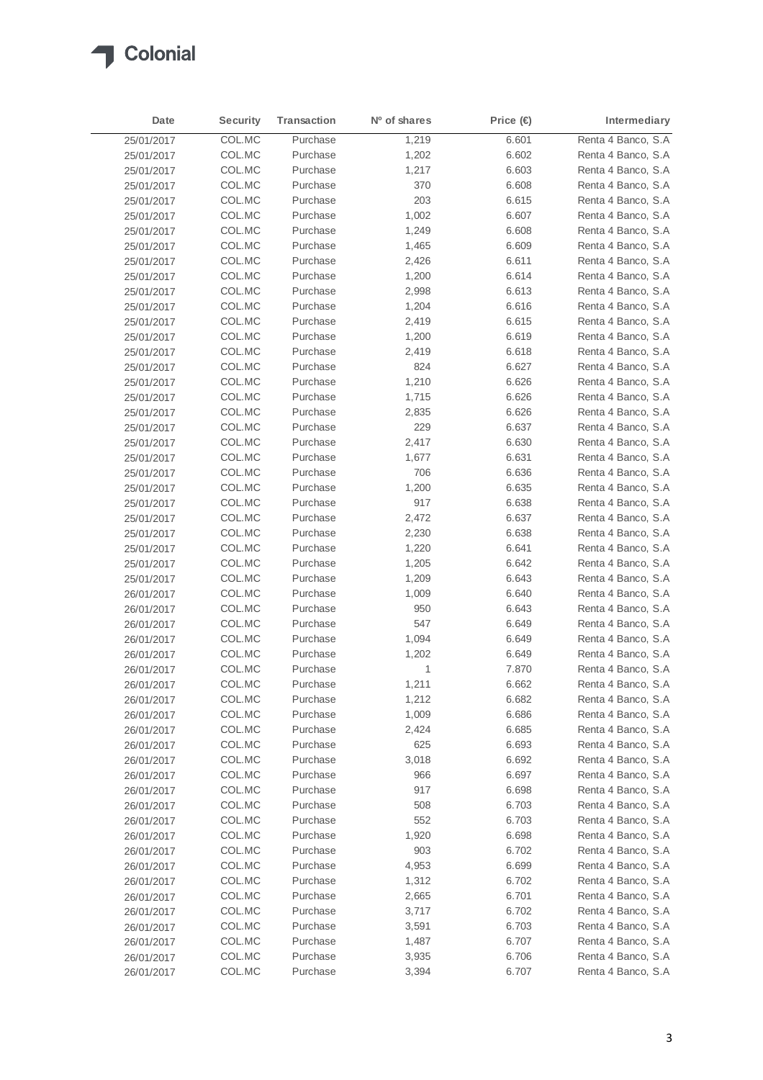

| Date       | <b>Security</b> | <b>Transaction</b> | Nº of shares | Price $\bigoplus$ | Intermediary       |
|------------|-----------------|--------------------|--------------|-------------------|--------------------|
| 25/01/2017 | COL.MC          | Purchase           | 1,219        | 6.601             | Renta 4 Banco, S.A |
| 25/01/2017 | COL.MC          | Purchase           | 1,202        | 6.602             | Renta 4 Banco, S.A |
| 25/01/2017 | COL.MC          | Purchase           | 1,217        | 6.603             | Renta 4 Banco, S.A |
| 25/01/2017 | COL.MC          | Purchase           | 370          | 6.608             | Renta 4 Banco, S.A |
| 25/01/2017 | COL.MC          | Purchase           | 203          | 6.615             | Renta 4 Banco, S.A |
| 25/01/2017 | COL.MC          | Purchase           | 1,002        | 6.607             | Renta 4 Banco, S.A |
| 25/01/2017 | COL.MC          | Purchase           | 1,249        | 6.608             | Renta 4 Banco, S.A |
| 25/01/2017 | COL.MC          | Purchase           | 1,465        | 6.609             | Renta 4 Banco, S.A |
| 25/01/2017 | COL.MC          | Purchase           | 2,426        | 6.611             | Renta 4 Banco, S.A |
| 25/01/2017 | COL.MC          | Purchase           | 1,200        | 6.614             | Renta 4 Banco, S.A |
| 25/01/2017 | COL.MC          | Purchase           | 2,998        | 6.613             | Renta 4 Banco, S.A |
| 25/01/2017 | COL.MC          | Purchase           | 1,204        | 6.616             | Renta 4 Banco, S.A |
| 25/01/2017 | COL.MC          | Purchase           | 2,419        | 6.615             | Renta 4 Banco, S.A |
| 25/01/2017 | COL.MC          | Purchase           | 1,200        | 6.619             | Renta 4 Banco, S.A |
| 25/01/2017 | COL.MC          | Purchase           | 2,419        | 6.618             | Renta 4 Banco, S.A |
| 25/01/2017 | COL.MC          | Purchase           | 824          | 6.627             | Renta 4 Banco, S.A |
| 25/01/2017 | COL.MC          | Purchase           | 1,210        | 6.626             | Renta 4 Banco, S.A |
| 25/01/2017 | COL.MC          | Purchase           | 1,715        | 6.626             | Renta 4 Banco, S.A |
| 25/01/2017 | COL.MC          | Purchase           | 2,835        | 6.626             | Renta 4 Banco, S.A |
| 25/01/2017 | COL.MC          | Purchase           | 229          | 6.637             | Renta 4 Banco, S.A |
| 25/01/2017 | COL.MC          | Purchase           | 2,417        | 6.630             | Renta 4 Banco, S.A |
| 25/01/2017 | COL.MC          | Purchase           | 1,677        | 6.631             | Renta 4 Banco, S.A |
| 25/01/2017 | COL.MC          | Purchase           | 706          | 6.636             | Renta 4 Banco, S.A |
| 25/01/2017 | COL.MC          | Purchase           | 1,200        | 6.635             | Renta 4 Banco, S.A |
| 25/01/2017 | COL.MC          | Purchase           | 917          | 6.638             | Renta 4 Banco, S.A |
| 25/01/2017 | COL.MC          | Purchase           | 2,472        | 6.637             | Renta 4 Banco, S.A |
| 25/01/2017 | COL.MC          | Purchase           | 2,230        | 6.638             | Renta 4 Banco, S.A |
| 25/01/2017 | COL.MC          | Purchase           | 1,220        | 6.641             | Renta 4 Banco, S.A |
| 25/01/2017 | COL.MC          | Purchase           | 1,205        | 6.642             | Renta 4 Banco, S.A |
| 25/01/2017 | COL.MC          | Purchase           | 1,209        | 6.643             | Renta 4 Banco, S.A |
| 26/01/2017 | COL.MC          | Purchase           | 1,009        | 6.640             | Renta 4 Banco, S.A |
| 26/01/2017 | COL.MC          | Purchase           | 950          | 6.643             | Renta 4 Banco, S.A |
| 26/01/2017 | COL.MC          | Purchase           | 547          | 6.649             | Renta 4 Banco, S.A |
| 26/01/2017 | COL.MC          | Purchase           | 1,094        | 6.649             | Renta 4 Banco, S.A |
| 26/01/2017 | COL.MC          | Purchase           | 1,202        | 6.649             | Renta 4 Banco, S.A |
| 26/01/2017 | COL.MC          | Purchase           | 1            | 7.870             | Renta 4 Banco, S.A |
| 26/01/2017 | COL.MC          | Purchase           | 1,211        | 6.662             | Renta 4 Banco, S.A |
| 26/01/2017 | COL.MC          | Purchase           | 1,212        | 6.682             | Renta 4 Banco, S.A |
| 26/01/2017 | COL.MC          | Purchase           | 1,009        | 6.686             | Renta 4 Banco, S.A |
| 26/01/2017 | COL.MC          | Purchase           | 2,424        | 6.685             | Renta 4 Banco, S.A |
| 26/01/2017 | COL.MC          | Purchase           | 625          | 6.693             | Renta 4 Banco, S.A |
| 26/01/2017 | COL.MC          | Purchase           | 3,018        | 6.692             | Renta 4 Banco, S.A |
| 26/01/2017 | COL.MC          | Purchase           | 966          | 6.697             | Renta 4 Banco, S.A |
| 26/01/2017 | COL.MC          | Purchase           | 917          | 6.698             | Renta 4 Banco, S.A |
| 26/01/2017 | COL.MC          | Purchase           | 508          | 6.703             | Renta 4 Banco, S.A |
| 26/01/2017 | COL.MC          | Purchase           | 552          | 6.703             | Renta 4 Banco, S.A |
| 26/01/2017 | COL.MC          | Purchase           | 1,920        | 6.698             | Renta 4 Banco, S.A |
| 26/01/2017 | COL.MC          | Purchase           | 903          | 6.702             | Renta 4 Banco, S.A |
| 26/01/2017 | COL.MC          | Purchase           | 4,953        | 6.699             | Renta 4 Banco, S.A |
| 26/01/2017 | COL.MC          | Purchase           | 1,312        | 6.702             | Renta 4 Banco, S.A |
| 26/01/2017 | COL.MC          | Purchase           | 2,665        | 6.701             | Renta 4 Banco, S.A |
| 26/01/2017 | COL.MC          | Purchase           | 3,717        | 6.702             | Renta 4 Banco, S.A |
| 26/01/2017 | COL.MC          | Purchase           | 3,591        | 6.703             | Renta 4 Banco, S.A |
| 26/01/2017 | COL.MC          | Purchase           | 1,487        | 6.707             | Renta 4 Banco, S.A |
| 26/01/2017 | COL.MC          | Purchase           | 3,935        | 6.706             | Renta 4 Banco, S.A |
| 26/01/2017 | COL.MC          | Purchase           | 3,394        | 6.707             | Renta 4 Banco, S.A |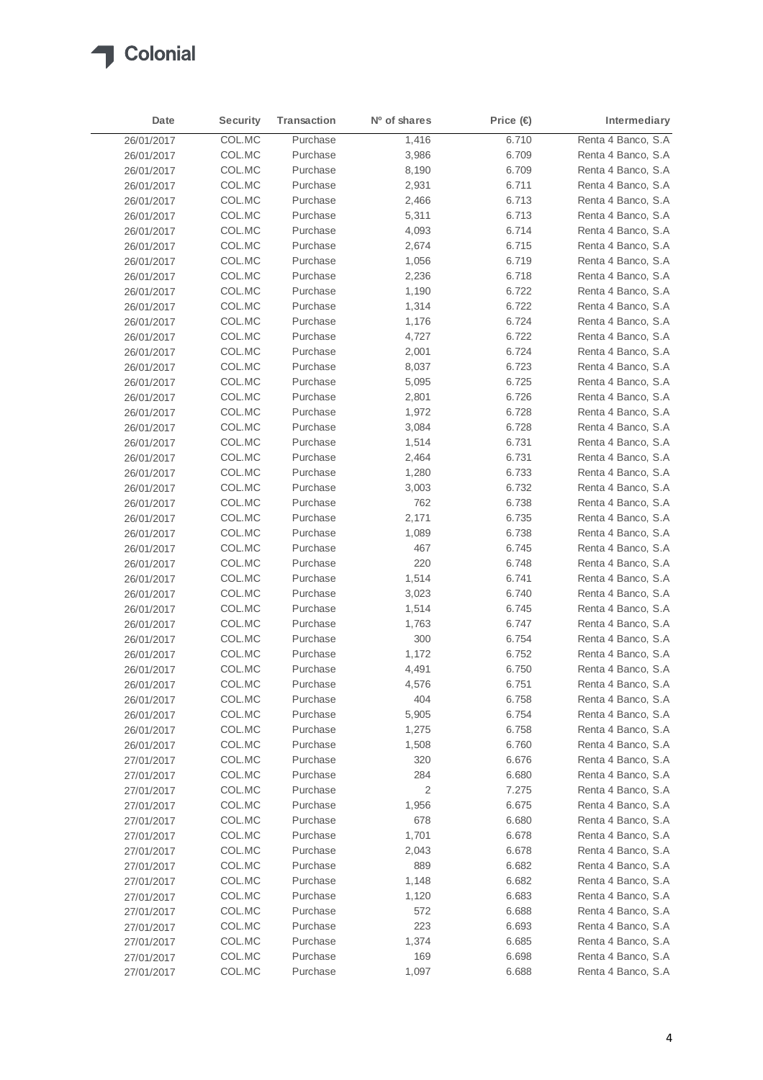

| Date       | <b>Security</b> | <b>Transaction</b> | Nº of shares | Price (€ | Intermediary        |
|------------|-----------------|--------------------|--------------|----------|---------------------|
| 26/01/2017 | COL.MC          | Purchase           | 1,416        | 6.710    | Renta 4 Banco, S.A  |
| 26/01/2017 | COL.MC          | Purchase           | 3,986        | 6.709    | Renta 4 Banco, S.A  |
| 26/01/2017 | COL.MC          | Purchase           | 8,190        | 6.709    | Renta 4 Banco, S.A  |
| 26/01/2017 | COL.MC          | Purchase           | 2,931        | 6.711    | Renta 4 Banco, S.A  |
| 26/01/2017 | COL.MC          | Purchase           | 2,466        | 6.713    | Renta 4 Banco, S.A  |
| 26/01/2017 | COL.MC          | Purchase           | 5,311        | 6.713    | Renta 4 Banco, S.A  |
| 26/01/2017 | COL.MC          | Purchase           | 4,093        | 6.714    | Renta 4 Banco, S.A  |
| 26/01/2017 | COL.MC          | Purchase           | 2,674        | 6.715    | Renta 4 Banco, S.A  |
| 26/01/2017 | COL.MC          | Purchase           | 1,056        | 6.719    | Renta 4 Banco, S.A  |
| 26/01/2017 | COL.MC          | Purchase           | 2,236        | 6.718    | Renta 4 Banco, S.A  |
| 26/01/2017 | COL.MC          | Purchase           | 1,190        | 6.722    | Renta 4 Banco, S.A  |
| 26/01/2017 | COL.MC          | Purchase           | 1,314        | 6.722    | Renta 4 Banco, S.A. |
| 26/01/2017 | COL.MC          | Purchase           | 1,176        | 6.724    | Renta 4 Banco, S.A  |
| 26/01/2017 | COL.MC          | Purchase           | 4,727        | 6.722    | Renta 4 Banco, S.A. |
| 26/01/2017 | COL.MC          | Purchase           | 2,001        | 6.724    | Renta 4 Banco, S.A  |
| 26/01/2017 | COL.MC          | Purchase           | 8,037        | 6.723    | Renta 4 Banco, S.A  |
| 26/01/2017 | COL.MC          | Purchase           | 5,095        | 6.725    | Renta 4 Banco, S.A  |
| 26/01/2017 | COL.MC          | Purchase           | 2,801        | 6.726    | Renta 4 Banco, S.A  |
| 26/01/2017 | COL.MC          | Purchase           | 1,972        | 6.728    | Renta 4 Banco, S.A  |
| 26/01/2017 | COL.MC          | Purchase           | 3,084        | 6.728    | Renta 4 Banco, S.A  |
| 26/01/2017 | COL.MC          | Purchase           | 1,514        | 6.731    | Renta 4 Banco, S.A  |
| 26/01/2017 | COL.MC          | Purchase           | 2,464        | 6.731    | Renta 4 Banco, S.A  |
| 26/01/2017 | COL.MC          | Purchase           | 1,280        | 6.733    | Renta 4 Banco, S.A  |
| 26/01/2017 | COL.MC          | Purchase           | 3,003        | 6.732    | Renta 4 Banco, S.A  |
| 26/01/2017 | COL.MC          | Purchase           | 762          | 6.738    | Renta 4 Banco, S.A  |
| 26/01/2017 | COL.MC          | Purchase           | 2,171        | 6.735    | Renta 4 Banco, S.A  |
| 26/01/2017 | COL.MC          | Purchase           | 1,089        | 6.738    | Renta 4 Banco, S.A  |
| 26/01/2017 | COL.MC          | Purchase           | 467          | 6.745    | Renta 4 Banco, S.A  |
| 26/01/2017 | COL.MC          | Purchase           | 220          | 6.748    | Renta 4 Banco, S.A  |
| 26/01/2017 | COL.MC          | Purchase           | 1,514        | 6.741    | Renta 4 Banco, S.A  |
| 26/01/2017 | COL.MC          | Purchase           | 3,023        | 6.740    | Renta 4 Banco, S.A  |
| 26/01/2017 | COL.MC          | Purchase           | 1,514        | 6.745    | Renta 4 Banco, S.A  |
| 26/01/2017 | COL.MC          | Purchase           | 1,763        | 6.747    | Renta 4 Banco, S.A  |
| 26/01/2017 | COL.MC          | Purchase           | 300          | 6.754    | Renta 4 Banco, S.A  |
| 26/01/2017 | COL.MC          | Purchase           | 1,172        | 6.752    | Renta 4 Banco, S.A  |
| 26/01/2017 | COL.MC          | Purchase           | 4,491        | 6.750    | Renta 4 Banco, S.A  |
| 26/01/2017 | COL.MC          | Purchase           | 4,576        | 6.751    | Renta 4 Banco, S.A  |
| 26/01/2017 | COL.MC          | Purchase           | 404          | 6.758    | Renta 4 Banco, S.A  |
| 26/01/2017 | COL.MC          | Purchase           | 5,905        | 6.754    | Renta 4 Banco, S.A  |
| 26/01/2017 | COL.MC          | Purchase           | 1,275        | 6.758    | Renta 4 Banco, S.A  |
| 26/01/2017 | COL.MC          | Purchase           | 1,508        | 6.760    | Renta 4 Banco, S.A  |
| 27/01/2017 | COL.MC          | Purchase           | 320          | 6.676    | Renta 4 Banco, S.A  |
| 27/01/2017 | COL.MC          | Purchase           | 284          | 6.680    | Renta 4 Banco, S.A  |
| 27/01/2017 | COL.MC          | Purchase           | 2            | 7.275    | Renta 4 Banco, S.A  |
| 27/01/2017 | COL.MC          | Purchase           | 1,956        | 6.675    | Renta 4 Banco, S.A  |
| 27/01/2017 | COL.MC          | Purchase           | 678          | 6.680    | Renta 4 Banco, S.A  |
| 27/01/2017 | COL.MC          | Purchase           | 1,701        | 6.678    | Renta 4 Banco, S.A  |
| 27/01/2017 | COL.MC          | Purchase           | 2,043        | 6.678    | Renta 4 Banco, S.A  |
| 27/01/2017 | COL.MC          | Purchase           | 889          | 6.682    | Renta 4 Banco, S.A  |
| 27/01/2017 | COL.MC          | Purchase           | 1,148        | 6.682    | Renta 4 Banco, S.A  |
| 27/01/2017 | COL.MC          | Purchase           | 1,120        | 6.683    | Renta 4 Banco, S.A  |
| 27/01/2017 | COL.MC          | Purchase           | 572          | 6.688    | Renta 4 Banco, S.A  |
| 27/01/2017 | COL.MC          | Purchase           | 223          | 6.693    | Renta 4 Banco, S.A  |
| 27/01/2017 | COL.MC          | Purchase           | 1,374        | 6.685    | Renta 4 Banco, S.A  |
| 27/01/2017 | COL.MC          | Purchase           | 169          | 6.698    | Renta 4 Banco, S.A  |
| 27/01/2017 | COL.MC          | Purchase           | 1,097        | 6.688    | Renta 4 Banco, S.A  |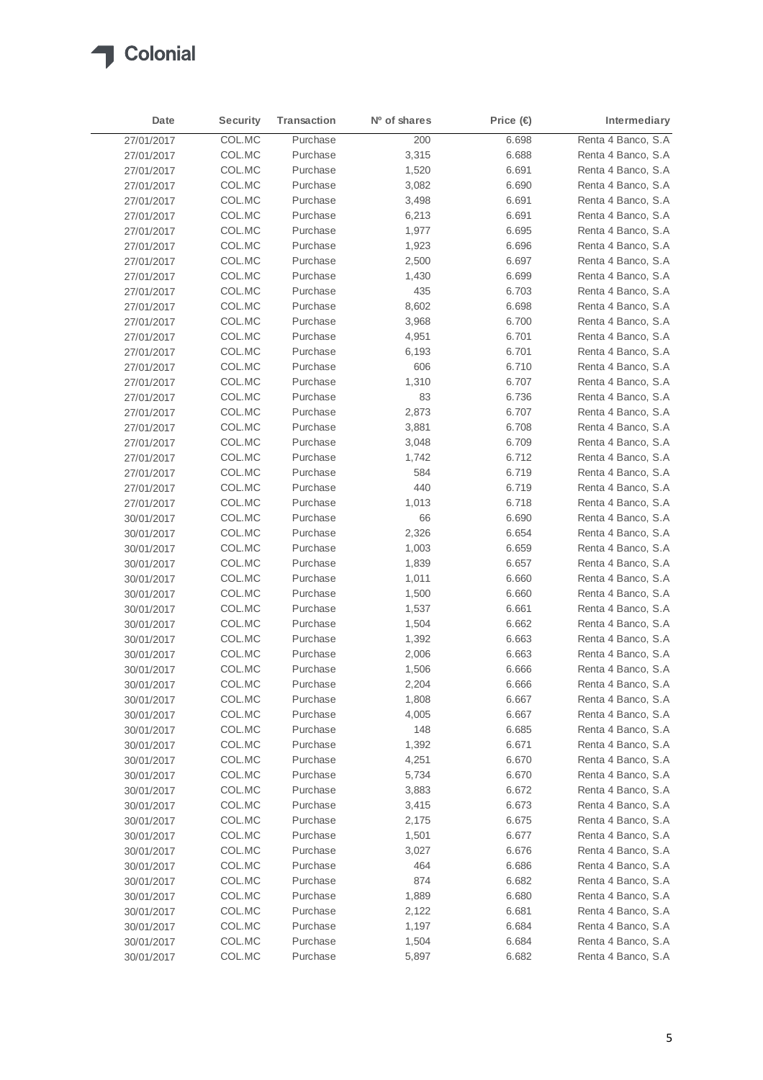

| Date       | <b>Security</b> | <b>Transaction</b> | Nº of shares | Price (€) | Intermediary       |
|------------|-----------------|--------------------|--------------|-----------|--------------------|
| 27/01/2017 | COL.MC          | Purchase           | 200          | 6.698     | Renta 4 Banco, S.A |
| 27/01/2017 | COL.MC          | Purchase           | 3,315        | 6.688     | Renta 4 Banco, S.A |
| 27/01/2017 | COL.MC          | Purchase           | 1,520        | 6.691     | Renta 4 Banco, S.A |
| 27/01/2017 | COL.MC          | Purchase           | 3,082        | 6.690     | Renta 4 Banco, S.A |
| 27/01/2017 | COL.MC          | Purchase           | 3,498        | 6.691     | Renta 4 Banco, S.A |
| 27/01/2017 | COL.MC          | Purchase           | 6,213        | 6.691     | Renta 4 Banco, S.A |
| 27/01/2017 | COL.MC          | Purchase           | 1,977        | 6.695     | Renta 4 Banco, S.A |
| 27/01/2017 | COL.MC          | Purchase           | 1,923        | 6.696     | Renta 4 Banco, S.A |
| 27/01/2017 | COL.MC          | Purchase           | 2,500        | 6.697     | Renta 4 Banco, S.A |
| 27/01/2017 | COL.MC          | Purchase           | 1,430        | 6.699     | Renta 4 Banco, S.A |
| 27/01/2017 | COL.MC          | Purchase           | 435          | 6.703     | Renta 4 Banco, S.A |
| 27/01/2017 | COL.MC          | Purchase           | 8,602        | 6.698     | Renta 4 Banco, S.A |
| 27/01/2017 | COL.MC          | Purchase           | 3,968        | 6.700     | Renta 4 Banco, S.A |
| 27/01/2017 | COL.MC          | Purchase           | 4,951        | 6.701     | Renta 4 Banco, S.A |
| 27/01/2017 | COL.MC          | Purchase           | 6,193        | 6.701     | Renta 4 Banco, S.A |
| 27/01/2017 | COL.MC          | Purchase           | 606          | 6.710     | Renta 4 Banco, S.A |
| 27/01/2017 | COL.MC          | Purchase           | 1,310        | 6.707     | Renta 4 Banco, S.A |
| 27/01/2017 | COL.MC          | Purchase           | 83           | 6.736     | Renta 4 Banco, S.A |
| 27/01/2017 | COL.MC          | Purchase           | 2,873        | 6.707     | Renta 4 Banco, S.A |
| 27/01/2017 | COL.MC          | Purchase           | 3,881        | 6.708     | Renta 4 Banco, S.A |
| 27/01/2017 | COL.MC          | Purchase           | 3,048        | 6.709     | Renta 4 Banco, S.A |
| 27/01/2017 | COL.MC          | Purchase           | 1,742        | 6.712     | Renta 4 Banco, S.A |
| 27/01/2017 | COL.MC          | Purchase           | 584          | 6.719     | Renta 4 Banco, S.A |
| 27/01/2017 | COL.MC          | Purchase           | 440          | 6.719     | Renta 4 Banco, S.A |
| 27/01/2017 | COL.MC          | Purchase           | 1,013        | 6.718     | Renta 4 Banco, S.A |
| 30/01/2017 | COL.MC          | Purchase           | 66           | 6.690     | Renta 4 Banco, S.A |
| 30/01/2017 | COL.MC          | Purchase           | 2,326        | 6.654     | Renta 4 Banco, S.A |
| 30/01/2017 | COL.MC          | Purchase           | 1,003        | 6.659     | Renta 4 Banco, S.A |
| 30/01/2017 | COL.MC          | Purchase           | 1,839        | 6.657     | Renta 4 Banco, S.A |
| 30/01/2017 | COL.MC          | Purchase           | 1,011        | 6.660     | Renta 4 Banco, S.A |
| 30/01/2017 | COL.MC          | Purchase           | 1,500        | 6.660     | Renta 4 Banco, S.A |
| 30/01/2017 | COL.MC          | Purchase           | 1,537        | 6.661     | Renta 4 Banco, S.A |
| 30/01/2017 | COL.MC          | Purchase           | 1,504        | 6.662     | Renta 4 Banco, S.A |
| 30/01/2017 | COL.MC          | Purchase           | 1,392        | 6.663     | Renta 4 Banco, S.A |
| 30/01/2017 | COL.MC          | Purchase           | 2,006        | 6.663     | Renta 4 Banco, S.A |
| 30/01/2017 | COL.MC          | Purchase           | 1,506        | 6.666     | Renta 4 Banco, S.A |
| 30/01/2017 | COL.MC          | Purchase           | 2,204        | 6.666     | Renta 4 Banco, S.A |
| 30/01/2017 | COL.MC          | Purchase           | 1,808        | 6.667     | Renta 4 Banco, S.A |
| 30/01/2017 | COL.MC          | Purchase           | 4,005        | 6.667     | Renta 4 Banco, S.A |
| 30/01/2017 | COL.MC          | Purchase           | 148          | 6.685     | Renta 4 Banco, S.A |
| 30/01/2017 | COL.MC          | Purchase           | 1,392        | 6.671     | Renta 4 Banco, S.A |
| 30/01/2017 | COL.MC          | Purchase           | 4,251        | 6.670     | Renta 4 Banco, S.A |
| 30/01/2017 | COL.MC          | Purchase           | 5,734        | 6.670     | Renta 4 Banco, S.A |
| 30/01/2017 | COL.MC          | Purchase           | 3,883        | 6.672     | Renta 4 Banco, S.A |
| 30/01/2017 | COL.MC          | Purchase           | 3,415        | 6.673     | Renta 4 Banco, S.A |
| 30/01/2017 | COL.MC          | Purchase           | 2,175        | 6.675     | Renta 4 Banco, S.A |
| 30/01/2017 | COL.MC          | Purchase           | 1,501        | 6.677     | Renta 4 Banco, S.A |
| 30/01/2017 | COL.MC          | Purchase           | 3,027        | 6.676     | Renta 4 Banco, S.A |
| 30/01/2017 | COL.MC          | Purchase           | 464          | 6.686     | Renta 4 Banco, S.A |
| 30/01/2017 | COL.MC          | Purchase           | 874          | 6.682     | Renta 4 Banco, S.A |
| 30/01/2017 | COL.MC          | Purchase           | 1,889        | 6.680     | Renta 4 Banco, S.A |
| 30/01/2017 | COL.MC          | Purchase           | 2,122        | 6.681     | Renta 4 Banco, S.A |
| 30/01/2017 | COL.MC          | Purchase           | 1,197        | 6.684     | Renta 4 Banco, S.A |
| 30/01/2017 | COL.MC          | Purchase           | 1,504        | 6.684     | Renta 4 Banco, S.A |
| 30/01/2017 | COL.MC          | Purchase           | 5,897        | 6.682     | Renta 4 Banco, S.A |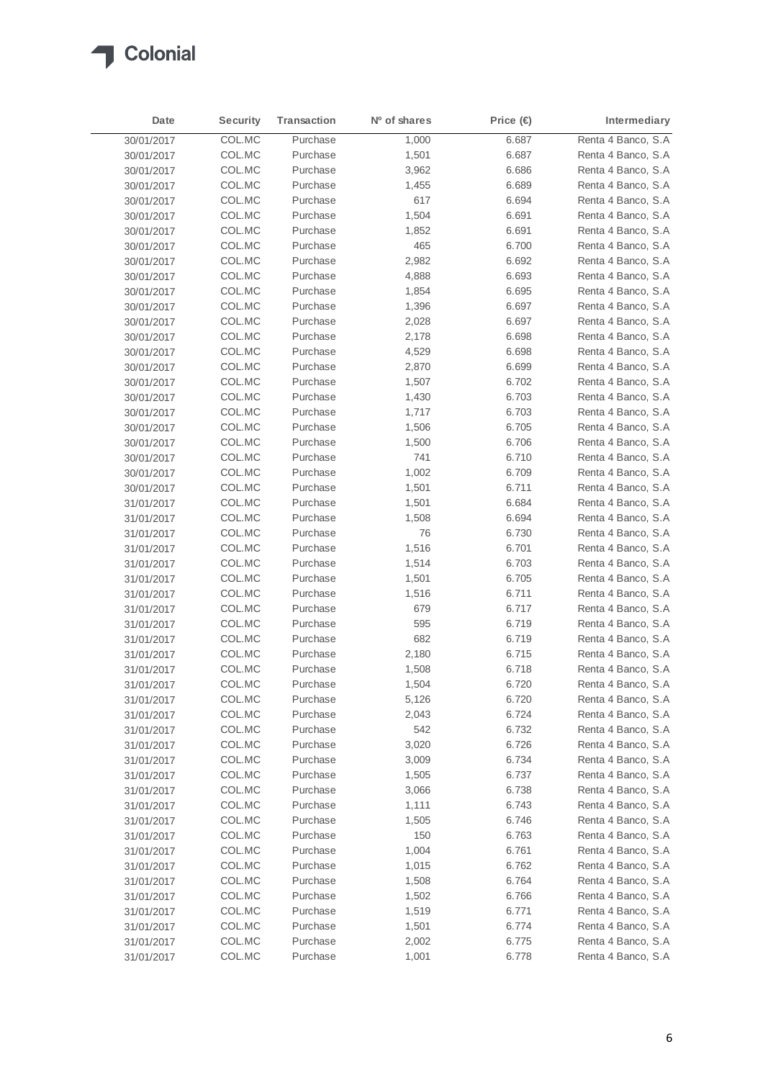

| Date       | <b>Security</b> | <b>Transaction</b> | N <sup>o</sup> of shares | Price $\bigoplus$ | Intermediary       |
|------------|-----------------|--------------------|--------------------------|-------------------|--------------------|
| 30/01/2017 | COL.MC          | Purchase           | 1,000                    | 6.687             | Renta 4 Banco, S.A |
| 30/01/2017 | COL.MC          | Purchase           | 1,501                    | 6.687             | Renta 4 Banco, S.A |
| 30/01/2017 | COL.MC          | Purchase           | 3,962                    | 6.686             | Renta 4 Banco, S.A |
| 30/01/2017 | COL.MC          | Purchase           | 1,455                    | 6.689             | Renta 4 Banco, S.A |
| 30/01/2017 | COL.MC          | Purchase           | 617                      | 6.694             | Renta 4 Banco, S.A |
| 30/01/2017 | COL.MC          | Purchase           | 1,504                    | 6.691             | Renta 4 Banco, S.A |
| 30/01/2017 | COL.MC          | Purchase           | 1,852                    | 6.691             | Renta 4 Banco, S.A |
| 30/01/2017 | COL.MC          | Purchase           | 465                      | 6.700             | Renta 4 Banco, S.A |
| 30/01/2017 | COL.MC          | Purchase           | 2,982                    | 6.692             | Renta 4 Banco, S.A |
| 30/01/2017 | COL.MC          | Purchase           | 4,888                    | 6.693             | Renta 4 Banco, S.A |
| 30/01/2017 | COL.MC          | Purchase           | 1,854                    | 6.695             | Renta 4 Banco, S.A |
| 30/01/2017 | COL.MC          | Purchase           | 1,396                    | 6.697             | Renta 4 Banco, S.A |
| 30/01/2017 | COL.MC          | Purchase           | 2,028                    | 6.697             | Renta 4 Banco, S.A |
| 30/01/2017 | COL.MC          | Purchase           | 2,178                    | 6.698             | Renta 4 Banco, S.A |
| 30/01/2017 | COL.MC          | Purchase           | 4,529                    | 6.698             | Renta 4 Banco, S.A |
| 30/01/2017 | COL.MC          | Purchase           | 2,870                    | 6.699             | Renta 4 Banco, S.A |
| 30/01/2017 | COL.MC          | Purchase           | 1,507                    | 6.702             | Renta 4 Banco, S.A |
| 30/01/2017 | COL.MC          | Purchase           | 1,430                    | 6.703             | Renta 4 Banco, S.A |
| 30/01/2017 | COL.MC          | Purchase           | 1,717                    | 6.703             | Renta 4 Banco, S.A |
| 30/01/2017 | COL.MC          | Purchase           | 1,506                    | 6.705             | Renta 4 Banco, S.A |
| 30/01/2017 | COL.MC          | Purchase           | 1,500                    | 6.706             | Renta 4 Banco, S.A |
| 30/01/2017 | COL.MC          | Purchase           | 741                      | 6.710             | Renta 4 Banco, S.A |
| 30/01/2017 | COL.MC          | Purchase           | 1,002                    | 6.709             | Renta 4 Banco, S.A |
| 30/01/2017 | COL.MC          | Purchase           | 1,501                    | 6.711             | Renta 4 Banco, S.A |
| 31/01/2017 | COL.MC          | Purchase           | 1,501                    | 6.684             | Renta 4 Banco, S.A |
| 31/01/2017 | COL.MC          | Purchase           | 1,508                    | 6.694             | Renta 4 Banco, S.A |
| 31/01/2017 | COL.MC          | Purchase           | 76                       | 6.730             | Renta 4 Banco, S.A |
| 31/01/2017 | COL.MC          | Purchase           | 1,516                    | 6.701             | Renta 4 Banco, S.A |
| 31/01/2017 | COL.MC          | Purchase           | 1,514                    | 6.703             | Renta 4 Banco, S.A |
| 31/01/2017 | COL.MC          | Purchase           | 1,501                    | 6.705             | Renta 4 Banco, S.A |
| 31/01/2017 | COL.MC          | Purchase           | 1,516                    | 6.711             | Renta 4 Banco, S.A |
| 31/01/2017 | COL.MC          | Purchase           | 679                      | 6.717             | Renta 4 Banco, S.A |
| 31/01/2017 | COL.MC          | Purchase           | 595                      | 6.719             | Renta 4 Banco, S.A |
| 31/01/2017 | COL.MC          | Purchase           | 682                      | 6.719             | Renta 4 Banco, S.A |
| 31/01/2017 | COL.MC          | Purchase           | 2,180                    | 6.715             | Renta 4 Banco, S.A |
| 31/01/2017 | COL.MC          | Purchase           | 1,508                    | 6.718             | Renta 4 Banco, S.A |
| 31/01/2017 | COL.MC          | Purchase           | 1,504                    | 6.720             | Renta 4 Banco, S.A |
| 31/01/2017 | COL.MC          | Purchase           | 5,126                    | 6.720             | Renta 4 Banco, S.A |
| 31/01/2017 | COL.MC          | Purchase           | 2,043                    | 6.724             | Renta 4 Banco, S.A |
| 31/01/2017 | COL.MC          | Purchase           | 542                      | 6.732             | Renta 4 Banco, S.A |
| 31/01/2017 | COL.MC          | Purchase           | 3,020                    | 6.726             | Renta 4 Banco, S.A |
| 31/01/2017 | COL.MC          | Purchase           | 3,009                    | 6.734             | Renta 4 Banco, S.A |
| 31/01/2017 | COL.MC          | Purchase           | 1,505                    | 6.737             | Renta 4 Banco, S.A |
| 31/01/2017 | COL.MC          | Purchase           | 3,066                    | 6.738             | Renta 4 Banco, S.A |
| 31/01/2017 | COL.MC          | Purchase           | 1,111                    | 6.743             | Renta 4 Banco, S.A |
| 31/01/2017 | COL.MC          | Purchase           | 1,505                    | 6.746             | Renta 4 Banco, S.A |
| 31/01/2017 | COL.MC          | Purchase           | 150                      | 6.763             | Renta 4 Banco, S.A |
| 31/01/2017 | COL.MC          | Purchase           | 1,004                    | 6.761             | Renta 4 Banco, S.A |
| 31/01/2017 | COL.MC          | Purchase           | 1,015                    | 6.762             | Renta 4 Banco, S.A |
| 31/01/2017 | COL.MC          | Purchase           | 1,508                    | 6.764             | Renta 4 Banco, S.A |
| 31/01/2017 | COL.MC          | Purchase           | 1,502                    | 6.766             | Renta 4 Banco, S.A |
| 31/01/2017 | COL.MC          | Purchase           | 1,519                    | 6.771             | Renta 4 Banco, S.A |
| 31/01/2017 | COL.MC          | Purchase           | 1,501                    | 6.774             | Renta 4 Banco, S.A |
| 31/01/2017 | COL.MC          | Purchase           | 2,002                    | 6.775             | Renta 4 Banco, S.A |
| 31/01/2017 | COL.MC          | Purchase           | 1,001                    | 6.778             | Renta 4 Banco, S.A |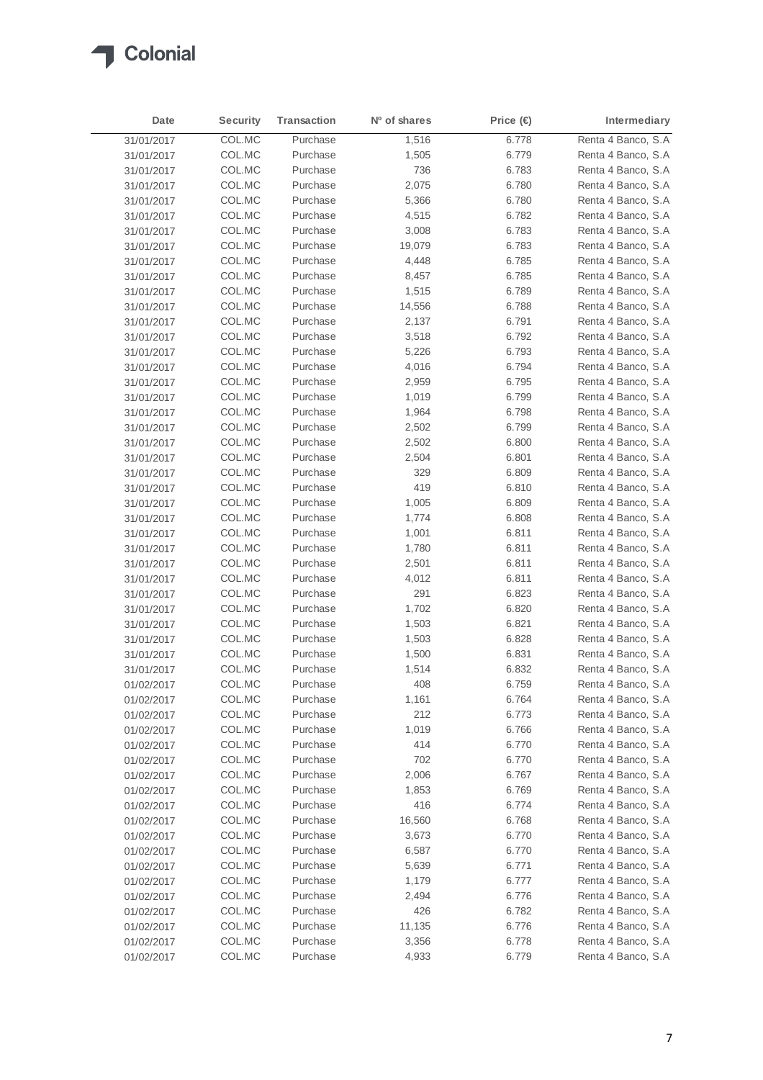

| Date       | <b>Security</b> | <b>Transaction</b> | N <sup>o</sup> of shares | Price (€ | Intermediary       |
|------------|-----------------|--------------------|--------------------------|----------|--------------------|
| 31/01/2017 | COL.MC          | Purchase           | 1,516                    | 6.778    | Renta 4 Banco, S.A |
| 31/01/2017 | COL.MC          | Purchase           | 1,505                    | 6.779    | Renta 4 Banco, S.A |
| 31/01/2017 | COL.MC          | Purchase           | 736                      | 6.783    | Renta 4 Banco, S.A |
| 31/01/2017 | COL.MC          | Purchase           | 2,075                    | 6.780    | Renta 4 Banco, S.A |
| 31/01/2017 | COL.MC          | Purchase           | 5,366                    | 6.780    | Renta 4 Banco, S.A |
| 31/01/2017 | COL.MC          | Purchase           | 4,515                    | 6.782    | Renta 4 Banco, S.A |
| 31/01/2017 | COL.MC          | Purchase           | 3,008                    | 6.783    | Renta 4 Banco, S.A |
| 31/01/2017 | COL.MC          | Purchase           | 19,079                   | 6.783    | Renta 4 Banco, S.A |
| 31/01/2017 | COL.MC          | Purchase           | 4,448                    | 6.785    | Renta 4 Banco, S.A |
| 31/01/2017 | COL.MC          | Purchase           | 8,457                    | 6.785    | Renta 4 Banco, S.A |
| 31/01/2017 | COL.MC          | Purchase           | 1,515                    | 6.789    | Renta 4 Banco, S.A |
| 31/01/2017 | COL.MC          | Purchase           | 14,556                   | 6.788    | Renta 4 Banco, S.A |
| 31/01/2017 | COL.MC          | Purchase           | 2,137                    | 6.791    | Renta 4 Banco, S.A |
| 31/01/2017 | COL.MC          | Purchase           | 3,518                    | 6.792    | Renta 4 Banco, S.A |
| 31/01/2017 | COL.MC          | Purchase           | 5,226                    | 6.793    | Renta 4 Banco, S.A |
| 31/01/2017 | COL.MC          | Purchase           | 4,016                    | 6.794    | Renta 4 Banco, S.A |
| 31/01/2017 | COL.MC          | Purchase           | 2,959                    | 6.795    | Renta 4 Banco, S.A |
| 31/01/2017 | COL.MC          | Purchase           | 1,019                    | 6.799    | Renta 4 Banco, S.A |
| 31/01/2017 | COL.MC          | Purchase           | 1,964                    | 6.798    | Renta 4 Banco, S.A |
| 31/01/2017 | COL.MC          | Purchase           | 2,502                    | 6.799    | Renta 4 Banco, S.A |
| 31/01/2017 | COL.MC          | Purchase           | 2,502                    | 6.800    | Renta 4 Banco, S.A |
| 31/01/2017 | COL.MC          | Purchase           | 2,504                    | 6.801    | Renta 4 Banco, S.A |
| 31/01/2017 | COL.MC          | Purchase           | 329                      | 6.809    | Renta 4 Banco, S.A |
| 31/01/2017 | COL.MC          | Purchase           | 419                      | 6.810    | Renta 4 Banco, S.A |
| 31/01/2017 | COL.MC          | Purchase           | 1,005                    | 6.809    | Renta 4 Banco, S.A |
| 31/01/2017 | COL.MC          | Purchase           | 1,774                    | 6.808    | Renta 4 Banco, S.A |
| 31/01/2017 | COL.MC          | Purchase           | 1,001                    | 6.811    | Renta 4 Banco, S.A |
| 31/01/2017 | COL.MC          | Purchase           | 1,780                    | 6.811    | Renta 4 Banco, S.A |
| 31/01/2017 | COL.MC          | Purchase           | 2,501                    | 6.811    | Renta 4 Banco, S.A |
| 31/01/2017 | COL.MC          | Purchase           | 4,012                    | 6.811    | Renta 4 Banco, S.A |
| 31/01/2017 | COL.MC          | Purchase           | 291                      | 6.823    | Renta 4 Banco, S.A |
| 31/01/2017 | COL.MC          | Purchase           | 1,702                    | 6.820    | Renta 4 Banco, S.A |
| 31/01/2017 | COL.MC          | Purchase           | 1,503                    | 6.821    | Renta 4 Banco, S.A |
| 31/01/2017 | COL.MC          | Purchase           | 1,503                    | 6.828    | Renta 4 Banco, S.A |
| 31/01/2017 | COL.MC          | Purchase           | 1,500                    | 6.831    | Renta 4 Banco, S.A |
| 31/01/2017 | COL.MC          | Purchase           | 1,514                    | 6.832    | Renta 4 Banco, S.A |
| 01/02/2017 | COL.MC          | Purchase           | 408                      | 6.759    | Renta 4 Banco, S.A |
| 01/02/2017 | COL.MC          | Purchase           | 1,161                    | 6.764    | Renta 4 Banco, S.A |
| 01/02/2017 | COL.MC          | Purchase           | 212                      | 6.773    | Renta 4 Banco, S.A |
| 01/02/2017 | COL.MC          | Purchase           | 1,019                    | 6.766    | Renta 4 Banco, S.A |
| 01/02/2017 | COL.MC          | Purchase           | 414                      | 6.770    | Renta 4 Banco, S.A |
| 01/02/2017 | COL.MC          | Purchase           | 702                      | 6.770    | Renta 4 Banco, S.A |
| 01/02/2017 | COL.MC          | Purchase           | 2,006                    | 6.767    | Renta 4 Banco, S.A |
| 01/02/2017 | COL.MC          | Purchase           | 1,853                    | 6.769    | Renta 4 Banco, S.A |
| 01/02/2017 | COL.MC          | Purchase           | 416                      | 6.774    | Renta 4 Banco, S.A |
| 01/02/2017 | COL.MC          | Purchase           | 16,560                   | 6.768    | Renta 4 Banco, S.A |
| 01/02/2017 | COL.MC          | Purchase           | 3,673                    | 6.770    | Renta 4 Banco, S.A |
| 01/02/2017 | COL.MC          | Purchase           | 6,587                    | 6.770    | Renta 4 Banco, S.A |
| 01/02/2017 | COL.MC          | Purchase           | 5,639                    | 6.771    | Renta 4 Banco, S.A |
| 01/02/2017 | COL.MC          | Purchase           | 1,179                    | 6.777    | Renta 4 Banco, S.A |
| 01/02/2017 | COL.MC          | Purchase           | 2,494                    | 6.776    | Renta 4 Banco, S.A |
| 01/02/2017 | COL.MC          | Purchase           | 426                      | 6.782    | Renta 4 Banco, S.A |
| 01/02/2017 | COL.MC          | Purchase           | 11,135                   | 6.776    | Renta 4 Banco, S.A |
| 01/02/2017 | COL.MC          | Purchase           | 3,356                    | 6.778    | Renta 4 Banco, S.A |
| 01/02/2017 | COL.MC          | Purchase           | 4,933                    | 6.779    | Renta 4 Banco, S.A |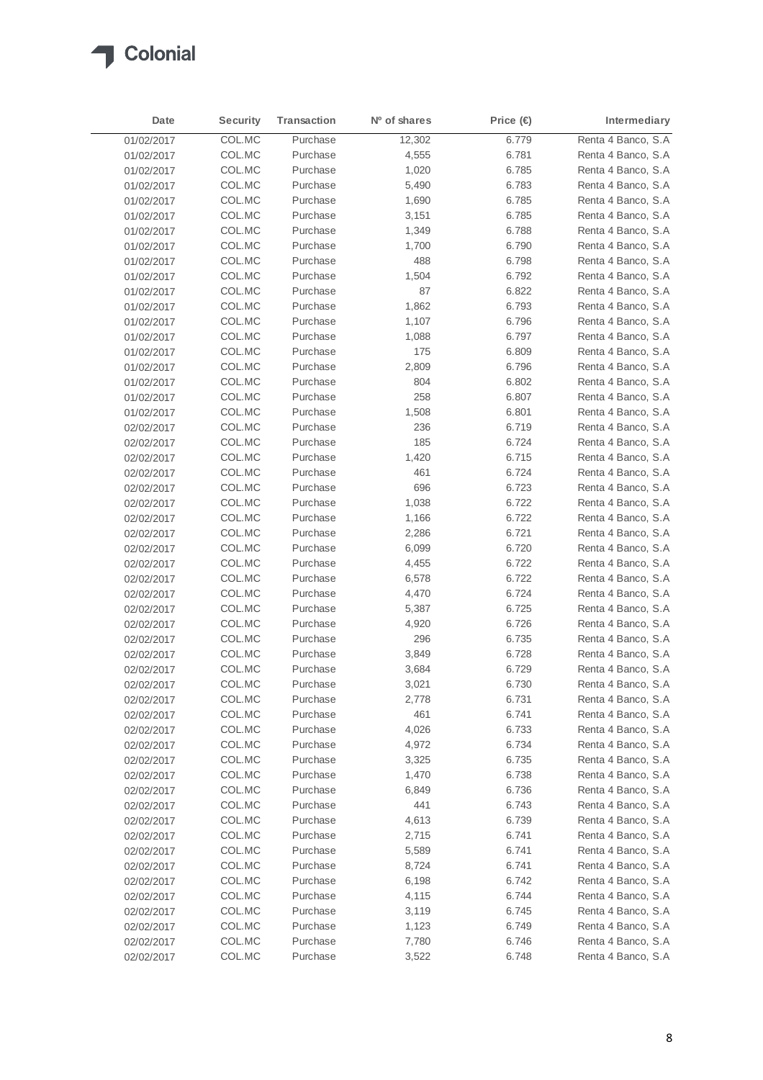

| Date       | <b>Security</b> | <b>Transaction</b> | N <sup>o</sup> of shares | Price (€ | Intermediary       |
|------------|-----------------|--------------------|--------------------------|----------|--------------------|
| 01/02/2017 | COL.MC          | Purchase           | 12,302                   | 6.779    | Renta 4 Banco, S.A |
| 01/02/2017 | COL.MC          | Purchase           | 4,555                    | 6.781    | Renta 4 Banco, S.A |
| 01/02/2017 | COL.MC          | Purchase           | 1,020                    | 6.785    | Renta 4 Banco, S.A |
| 01/02/2017 | COL.MC          | Purchase           | 5,490                    | 6.783    | Renta 4 Banco, S.A |
| 01/02/2017 | COL.MC          | Purchase           | 1,690                    | 6.785    | Renta 4 Banco, S.A |
| 01/02/2017 | COL.MC          | Purchase           | 3,151                    | 6.785    | Renta 4 Banco, S.A |
| 01/02/2017 | COL.MC          | Purchase           | 1,349                    | 6.788    | Renta 4 Banco, S.A |
| 01/02/2017 | COL.MC          | Purchase           | 1,700                    | 6.790    | Renta 4 Banco, S.A |
| 01/02/2017 | COL.MC          | Purchase           | 488                      | 6.798    | Renta 4 Banco, S.A |
| 01/02/2017 | COL.MC          | Purchase           | 1,504                    | 6.792    | Renta 4 Banco, S.A |
| 01/02/2017 | COL.MC          | Purchase           | 87                       | 6.822    | Renta 4 Banco, S.A |
| 01/02/2017 | COL.MC          | Purchase           | 1,862                    | 6.793    | Renta 4 Banco, S.A |
| 01/02/2017 | COL.MC          | Purchase           | 1,107                    | 6.796    | Renta 4 Banco, S.A |
| 01/02/2017 | COL.MC          | Purchase           | 1,088                    | 6.797    | Renta 4 Banco, S.A |
| 01/02/2017 | COL.MC          | Purchase           | 175                      | 6.809    | Renta 4 Banco, S.A |
| 01/02/2017 | COL.MC          | Purchase           | 2,809                    | 6.796    | Renta 4 Banco, S.A |
| 01/02/2017 | COL.MC          | Purchase           | 804                      | 6.802    | Renta 4 Banco, S.A |
| 01/02/2017 | COL.MC          | Purchase           | 258                      | 6.807    | Renta 4 Banco, S.A |
| 01/02/2017 | COL.MC          | Purchase           | 1,508                    | 6.801    | Renta 4 Banco, S.A |
| 02/02/2017 | COL.MC          | Purchase           | 236                      | 6.719    | Renta 4 Banco, S.A |
| 02/02/2017 | COL.MC          | Purchase           | 185                      | 6.724    | Renta 4 Banco, S.A |
| 02/02/2017 | COL.MC          | Purchase           | 1,420                    | 6.715    | Renta 4 Banco, S.A |
| 02/02/2017 | COL.MC          | Purchase           | 461                      | 6.724    | Renta 4 Banco, S.A |
| 02/02/2017 | COL.MC          | Purchase           | 696                      | 6.723    | Renta 4 Banco, S.A |
| 02/02/2017 | COL.MC          | Purchase           | 1,038                    | 6.722    | Renta 4 Banco, S.A |
| 02/02/2017 | COL.MC          | Purchase           | 1,166                    | 6.722    | Renta 4 Banco, S.A |
| 02/02/2017 | COL.MC          | Purchase           | 2,286                    | 6.721    | Renta 4 Banco, S.A |
| 02/02/2017 | COL.MC          | Purchase           | 6,099                    | 6.720    | Renta 4 Banco, S.A |
| 02/02/2017 | COL.MC          | Purchase           | 4,455                    | 6.722    | Renta 4 Banco, S.A |
| 02/02/2017 | COL.MC          | Purchase           | 6,578                    | 6.722    | Renta 4 Banco, S.A |
| 02/02/2017 | COL.MC          | Purchase           | 4,470                    | 6.724    | Renta 4 Banco, S.A |
| 02/02/2017 | COL.MC          | Purchase           | 5,387                    | 6.725    | Renta 4 Banco, S.A |
| 02/02/2017 | COL.MC          | Purchase           | 4,920                    | 6.726    | Renta 4 Banco, S.A |
| 02/02/2017 | COL.MC          | Purchase           | 296                      | 6.735    | Renta 4 Banco, S.A |
| 02/02/2017 | COL.MC          | Purchase           | 3,849                    | 6.728    | Renta 4 Banco, S.A |
| 02/02/2017 | COL.MC          | Purchase           | 3,684                    | 6.729    | Renta 4 Banco, S.A |
| 02/02/2017 | COL.MC          | Purchase           | 3,021                    | 6.730    | Renta 4 Banco, S.A |
| 02/02/2017 | COL.MC          | Purchase           | 2,778                    | 6.731    | Renta 4 Banco, S.A |
| 02/02/2017 | COL.MC          | Purchase           | 461                      | 6.741    | Renta 4 Banco, S.A |
| 02/02/2017 | COL.MC          | Purchase           | 4,026                    | 6.733    | Renta 4 Banco, S.A |
| 02/02/2017 | COL.MC          | Purchase           | 4,972                    | 6.734    | Renta 4 Banco, S.A |
| 02/02/2017 | COL.MC          | Purchase           | 3,325                    | 6.735    | Renta 4 Banco, S.A |
| 02/02/2017 | COL.MC          | Purchase           | 1,470                    | 6.738    | Renta 4 Banco, S.A |
| 02/02/2017 | COL.MC          | Purchase           | 6,849                    | 6.736    | Renta 4 Banco, S.A |
| 02/02/2017 | COL.MC          | Purchase           | 441                      | 6.743    | Renta 4 Banco, S.A |
| 02/02/2017 | COL.MC          | Purchase           | 4,613                    | 6.739    | Renta 4 Banco, S.A |
| 02/02/2017 | COL.MC          | Purchase           | 2,715                    | 6.741    | Renta 4 Banco, S.A |
| 02/02/2017 | COL.MC          | Purchase           | 5,589                    | 6.741    | Renta 4 Banco, S.A |
| 02/02/2017 | COL.MC          | Purchase           | 8,724                    | 6.741    | Renta 4 Banco, S.A |
| 02/02/2017 | COL.MC          | Purchase           | 6,198                    | 6.742    | Renta 4 Banco, S.A |
| 02/02/2017 | COL.MC          | Purchase           | 4,115                    | 6.744    | Renta 4 Banco, S.A |
| 02/02/2017 | COL.MC          | Purchase           | 3,119                    | 6.745    | Renta 4 Banco, S.A |
| 02/02/2017 | COL.MC          | Purchase           | 1,123                    | 6.749    | Renta 4 Banco, S.A |
| 02/02/2017 | COL.MC          | Purchase           | 7,780                    | 6.746    | Renta 4 Banco, S.A |
| 02/02/2017 | COL.MC          | Purchase           | 3,522                    | 6.748    | Renta 4 Banco, S.A |